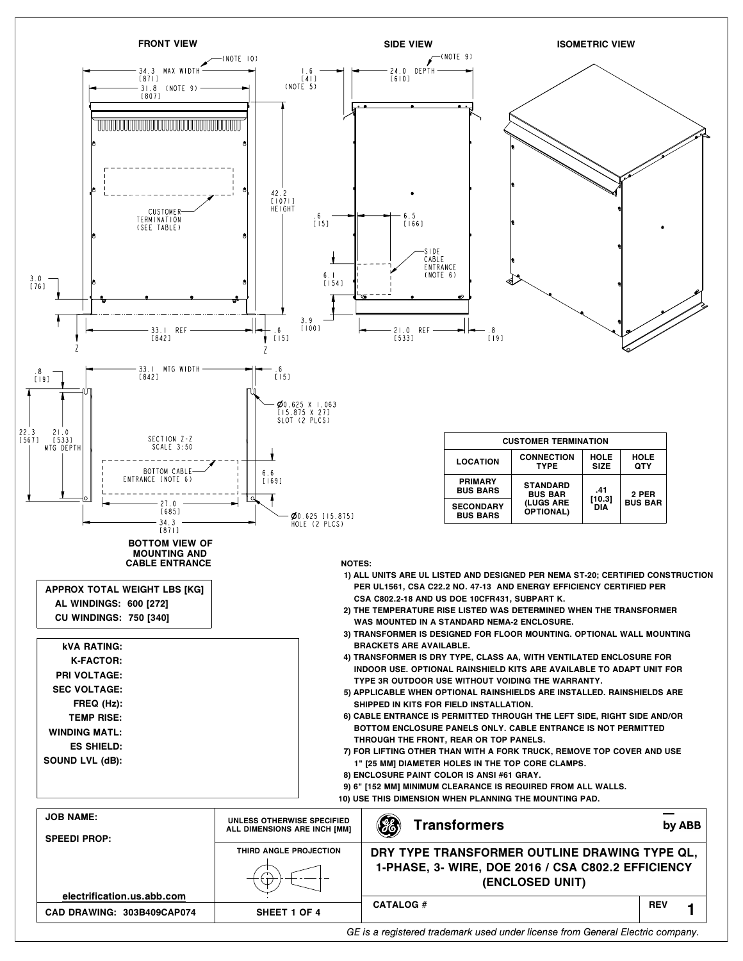

*GE is a registered trademark used under license from General Electric company.*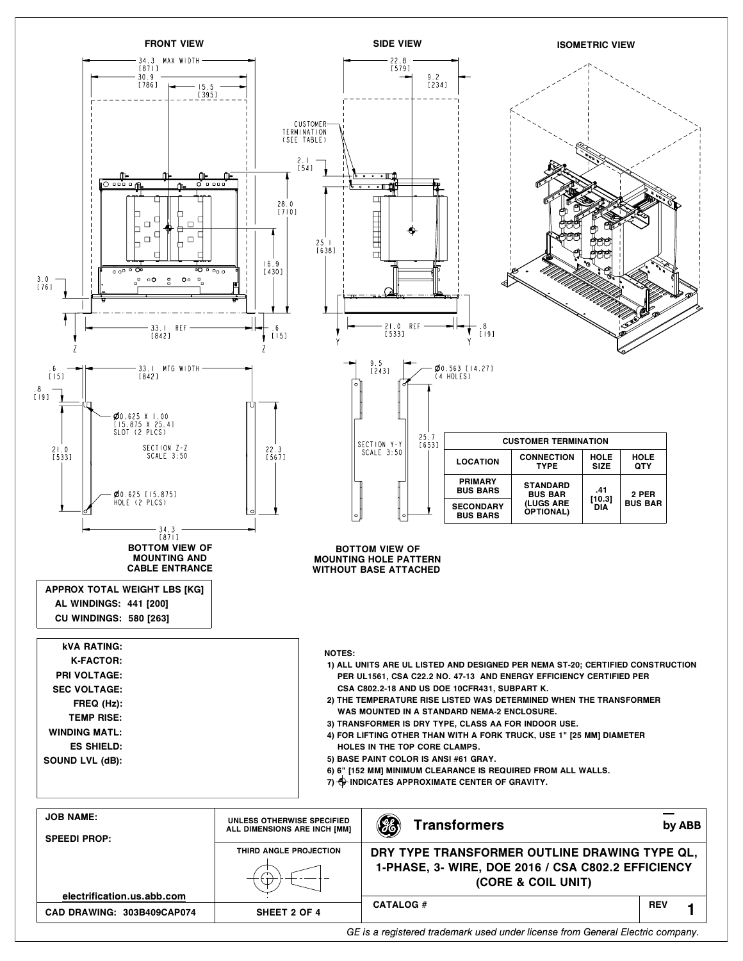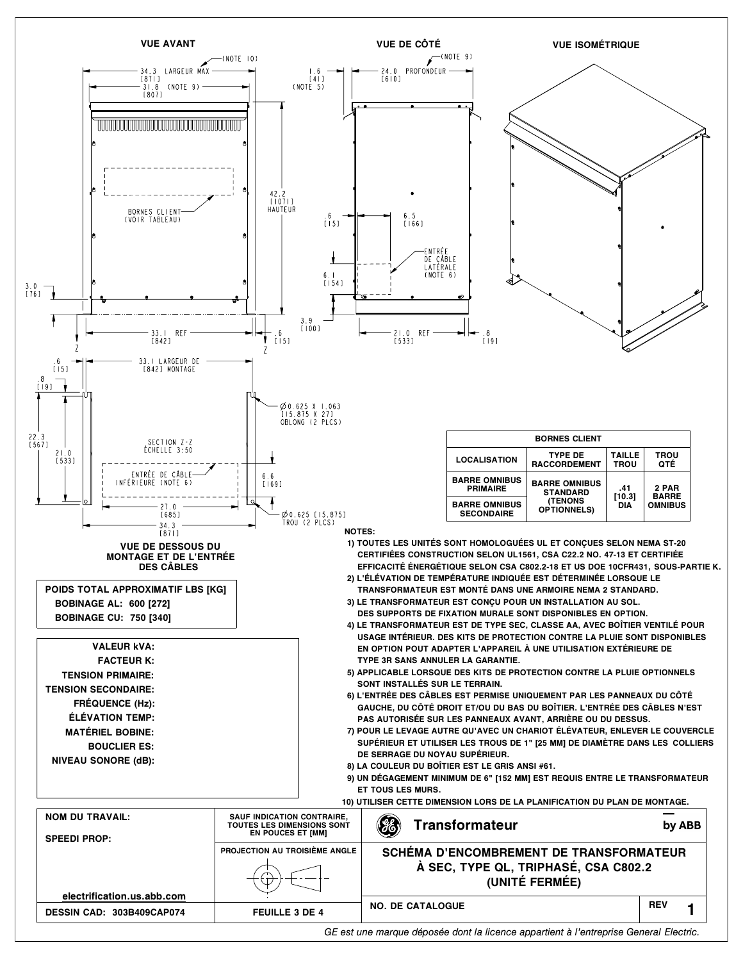

*GE est une marque déposée dont la licence appartient à l'entreprise General Electric.*